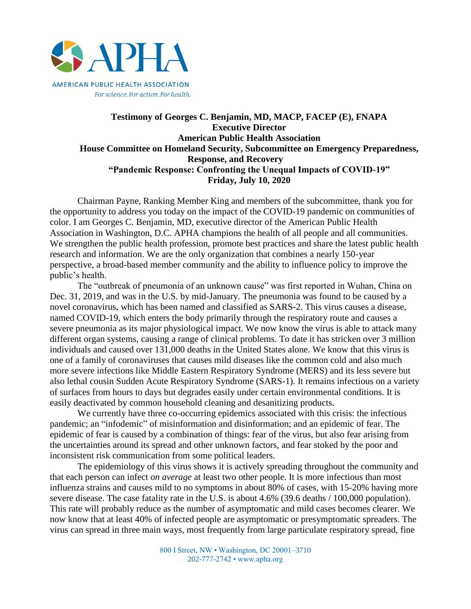

## **Testimony of Georges C. Benjamin, MD, MACP, FACEP (E), FNAPA Executive Director American Public Health Association House Committee on Homeland Security, Subcommittee on Emergency Preparedness, Response, and Recovery "Pandemic Response: Confronting the Unequal Impacts of COVID-19" Friday, July 10, 2020**

Chairman Payne, Ranking Member King and members of the subcommittee, thank you for the opportunity to address you today on the impact of the COVID-19 pandemic on communities of color. I am Georges C. Benjamin, MD, executive director of the American Public Health Association in Washington, D.C. APHA champions the health of all people and all communities. We strengthen the public health profession, promote best practices and share the latest public health research and information. We are the only organization that combines a nearly 150-year perspective, a broad-based member community and the ability to influence policy to improve the public's health.

The "outbreak of pneumonia of an unknown cause" was first reported in Wuhan, China on Dec. 31, 2019, and was in the U.S. by mid-January. The pneumonia was found to be caused by a novel coronavirus, which has been named and classified as SARS-2. This virus causes a disease, named COVID-19, which enters the body primarily through the respiratory route and causes a severe pneumonia as its major physiological impact. We now know the virus is able to attack many different organ systems, causing a range of clinical problems. To date it has stricken over 3 million individuals and caused over 131,000 deaths in the United States alone. We know that this virus is one of a family of coronaviruses that causes mild diseases like the common cold and also much more severe infections like Middle Eastern Respiratory Syndrome (MERS) and its less severe but also lethal cousin Sudden Acute Respiratory Syndrome (SARS-1). It remains infectious on a variety of surfaces from hours to days but degrades easily under certain environmental conditions. It is easily deactivated by common household cleaning and desanitizing products.

We currently have three co-occurring epidemics associated with this crisis: the infectious pandemic; an "infodemic" of misinformation and disinformation; and an epidemic of fear. The epidemic of fear is caused by a combination of things: fear of the virus, but also fear arising from the uncertainties around its spread and other unknown factors, and fear stoked by the poor and inconsistent risk communication from some political leaders.

The epidemiology of this virus shows it is actively spreading throughout the community and that each person can infect *on average* at least two other people. It is more infectious than most influenza strains and causes mild to no symptoms in about 80% of cases, with 15-20% having more severe disease. The case fatality rate in the U.S. is about 4.6% (39.6 deaths / 100,000 population). This rate will probably reduce as the number of asymptomatic and mild cases becomes clearer. We now know that at least 40% of infected people are asymptomatic or presymptomatic spreaders. The virus can spread in three main ways, most frequently from large particulate respiratory spread, fine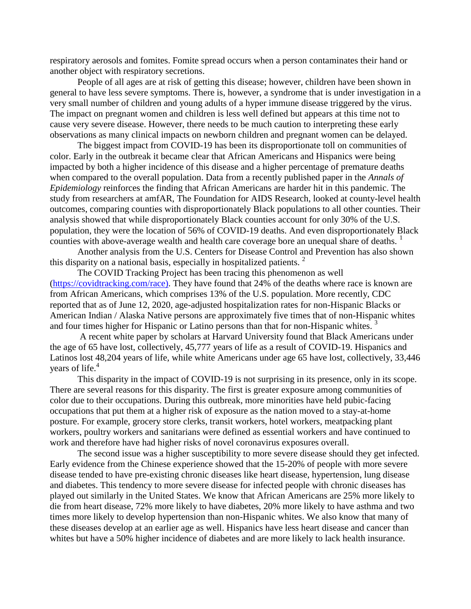respiratory aerosols and fomites. Fomite spread occurs when a person contaminates their hand or another object with respiratory secretions.

People of all ages are at risk of getting this disease; however, children have been shown in general to have less severe symptoms. There is, however, a syndrome that is under investigation in a very small number of children and young adults of a hyper immune disease triggered by the virus. The impact on pregnant women and children is less well defined but appears at this time not to cause very severe disease. However, there needs to be much caution to interpreting these early observations as many clinical impacts on newborn children and pregnant women can be delayed.

The biggest impact from COVID-19 has been its disproportionate toll on communities of color. Early in the outbreak it became clear that African Americans and Hispanics were being impacted by both a higher incidence of this disease and a higher percentage of premature deaths when compared to the overall population. Data from a recently published paper in the *Annals of Epidemiology* reinforces the finding that African Americans are harder hit in this pandemic. The study from researchers at amfAR, The Foundation for AIDS Research, looked at county-level health outcomes, comparing counties with disproportionately Black populations to all other counties. Their analysis showed that while disproportionately Black counties account for only 30% of the U.S. population, they were the location of 56% of COVID-19 deaths. And even disproportionately Black counties with above-average wealth and health care coverage bore an unequal share of deaths.  $<sup>1</sup>$ </sup>

Another analysis from the U.S. Centers for Disease Control and Prevention has also shown this disparity on a national basis, especially in hospitalized patients.<sup>2</sup>

The COVID Tracking Project has been tracing this phenomenon as well [\(https://covidtracking.com/race\)](https://covidtracking.com/race). They have found that 24% of the deaths where race is known are from African Americans, which comprises 13% of the U.S. population. More recently, CDC reported that as of June 12, 2020, age-adjusted hospitalization rates for non-Hispanic Blacks or American Indian / Alaska Native persons are approximately five times that of non-Hispanic whites and four times higher for Hispanic or Latino persons than that for non-Hispanic whites.  $3$ 

A recent white paper by scholars at Harvard University found that Black Americans under the age of 65 have lost, collectively, 45,777 years of life as a result of COVID-19. Hispanics and Latinos lost 48,204 years of life, while white Americans under age 65 have lost, collectively, 33,446 years of life.<sup>4</sup>

This disparity in the impact of COVID-19 is not surprising in its presence, only in its scope. There are several reasons for this disparity. The first is greater exposure among communities of color due to their occupations. During this outbreak, more minorities have held pubic-facing occupations that put them at a higher risk of exposure as the nation moved to a stay-at-home posture. For example, grocery store clerks, transit workers, hotel workers, meatpacking plant workers, poultry workers and sanitarians were defined as essential workers and have continued to work and therefore have had higher risks of novel coronavirus exposures overall.

The second issue was a higher susceptibility to more severe disease should they get infected. Early evidence from the Chinese experience showed that the 15-20% of people with more severe disease tended to have pre-existing chronic diseases like heart disease, hypertension, lung disease and diabetes. This tendency to more severe disease for infected people with chronic diseases has played out similarly in the United States. We know that African Americans are 25% more likely to die from heart disease, 72% more likely to have diabetes, 20% more likely to have asthma and two times more likely to develop hypertension than non-Hispanic whites. We also know that many of these diseases develop at an earlier age as well. Hispanics have less heart disease and cancer than whites but have a 50% higher incidence of diabetes and are more likely to lack health insurance.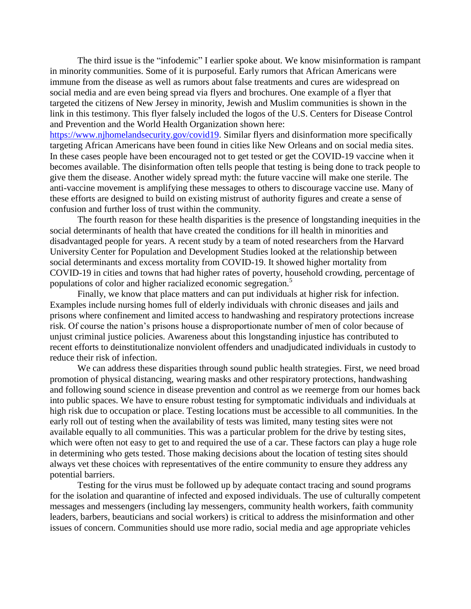The third issue is the "infodemic" I earlier spoke about. We know misinformation is rampant in minority communities. Some of it is purposeful. Early rumors that African Americans were immune from the disease as well as rumors about false treatments and cures are widespread on social media and are even being spread via flyers and brochures. One example of a flyer that targeted the citizens of New Jersey in minority, Jewish and Muslim communities is shown in the link in this testimony. This flyer falsely included the logos of the U.S. Centers for Disease Control and Prevention and the World Health Organization shown here:

[https://www.njhomelandsecurity.gov/covid19.](https://www.njhomelandsecurity.gov/covid19) Similar flyers and disinformation more specifically targeting African Americans have been found in cities like New Orleans and on social media sites. In these cases people have been encouraged not to get tested or get the COVID-19 vaccine when it becomes available. The disinformation often tells people that testing is being done to track people to give them the disease. Another widely spread myth: the future vaccine will make one sterile. The anti-vaccine movement is amplifying these messages to others to discourage vaccine use. Many of these efforts are designed to build on existing mistrust of authority figures and create a sense of confusion and further loss of trust within the community.

The fourth reason for these health disparities is the presence of longstanding inequities in the social determinants of health that have created the conditions for ill health in minorities and disadvantaged people for years. A recent study by a team of noted researchers from the Harvard University Center for Population and Development Studies looked at the relationship between social determinants and excess mortality from COVID-19. It showed higher mortality from COVID-19 in cities and towns that had higher rates of poverty, household crowding, percentage of populations of color and higher racialized economic segregation.<sup>5</sup>

Finally, we know that place matters and can put individuals at higher risk for infection. Examples include nursing homes full of elderly individuals with chronic diseases and jails and prisons where confinement and limited access to handwashing and respiratory protections increase risk. Of course the nation's prisons house a disproportionate number of men of color because of unjust criminal justice policies. Awareness about this longstanding injustice has contributed to recent efforts to deinstitutionalize nonviolent offenders and unadjudicated individuals in custody to reduce their risk of infection.

We can address these disparities through sound public health strategies. First, we need broad promotion of physical distancing, wearing masks and other respiratory protections, handwashing and following sound science in disease prevention and control as we reemerge from our homes back into public spaces. We have to ensure robust testing for symptomatic individuals and individuals at high risk due to occupation or place. Testing locations must be accessible to all communities. In the early roll out of testing when the availability of tests was limited, many testing sites were not available equally to all communities. This was a particular problem for the drive by testing sites, which were often not easy to get to and required the use of a car. These factors can play a huge role in determining who gets tested. Those making decisions about the location of testing sites should always vet these choices with representatives of the entire community to ensure they address any potential barriers.

Testing for the virus must be followed up by adequate contact tracing and sound programs for the isolation and quarantine of infected and exposed individuals. The use of culturally competent messages and messengers (including lay messengers, community health workers, faith community leaders, barbers, beauticians and social workers) is critical to address the misinformation and other issues of concern. Communities should use more radio, social media and age appropriate vehicles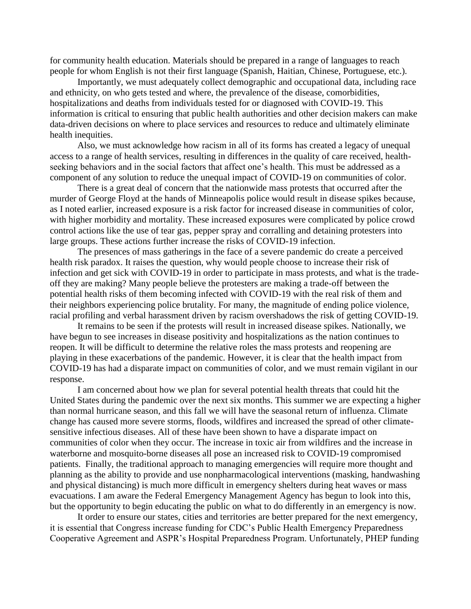for community health education. Materials should be prepared in a range of languages to reach people for whom English is not their first language (Spanish, Haitian, Chinese, Portuguese, etc.).

Importantly, we must adequately collect demographic and occupational data, including race and ethnicity, on who gets tested and where, the prevalence of the disease, comorbidities, hospitalizations and deaths from individuals tested for or diagnosed with COVID-19. This information is critical to ensuring that public health authorities and other decision makers can make data-driven decisions on where to place services and resources to reduce and ultimately eliminate health inequities.

Also, we must acknowledge how racism in all of its forms has created a legacy of unequal access to a range of health services, resulting in differences in the quality of care received, healthseeking behaviors and in the social factors that affect one's health. This must be addressed as a component of any solution to reduce the unequal impact of COVID-19 on communities of color.

There is a great deal of concern that the nationwide mass protests that occurred after the murder of George Floyd at the hands of Minneapolis police would result in disease spikes because, as I noted earlier, increased exposure is a risk factor for increased disease in communities of color, with higher morbidity and mortality. These increased exposures were complicated by police crowd control actions like the use of tear gas, pepper spray and corralling and detaining protesters into large groups. These actions further increase the risks of COVID-19 infection.

The presences of mass gatherings in the face of a severe pandemic do create a perceived health risk paradox. It raises the question, why would people choose to increase their risk of infection and get sick with COVID-19 in order to participate in mass protests, and what is the tradeoff they are making? Many people believe the protesters are making a trade-off between the potential health risks of them becoming infected with COVID-19 with the real risk of them and their neighbors experiencing police brutality. For many, the magnitude of ending police violence, racial profiling and verbal harassment driven by racism overshadows the risk of getting COVID-19.

It remains to be seen if the protests will result in increased disease spikes. Nationally, we have begun to see increases in disease positivity and hospitalizations as the nation continues to reopen. It will be difficult to determine the relative roles the mass protests and reopening are playing in these exacerbations of the pandemic. However, it is clear that the health impact from COVID-19 has had a disparate impact on communities of color, and we must remain vigilant in our response.

I am concerned about how we plan for several potential health threats that could hit the United States during the pandemic over the next six months. This summer we are expecting a higher than normal hurricane season, and this fall we will have the seasonal return of influenza. Climate change has caused more severe storms, floods, wildfires and increased the spread of other climatesensitive infectious diseases. All of these have been shown to have a disparate impact on communities of color when they occur. The increase in toxic air from wildfires and the increase in waterborne and mosquito-borne diseases all pose an increased risk to COVID-19 compromised patients. Finally, the traditional approach to managing emergencies will require more thought and planning as the ability to provide and use nonpharmacological interventions (masking, handwashing and physical distancing) is much more difficult in emergency shelters during heat waves or mass evacuations. I am aware the Federal Emergency Management Agency has begun to look into this, but the opportunity to begin educating the public on what to do differently in an emergency is now.

It order to ensure our states, cities and territories are better prepared for the next emergency, it is essential that Congress increase funding for CDC's Public Health Emergency Preparedness Cooperative Agreement and ASPR's Hospital Preparedness Program. Unfortunately, PHEP funding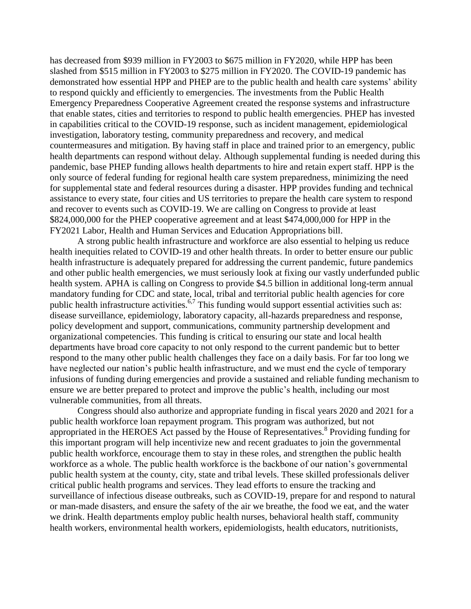has decreased from \$939 million in FY2003 to \$675 million in FY2020, while HPP has been slashed from \$515 million in FY2003 to \$275 million in FY2020. The COVID-19 pandemic has demonstrated how essential HPP and PHEP are to the public health and health care systems' ability to respond quickly and efficiently to emergencies. The investments from the Public Health Emergency Preparedness Cooperative Agreement created the response systems and infrastructure that enable states, cities and territories to respond to public health emergencies. PHEP has invested in capabilities critical to the COVID-19 response, such as incident management, epidemiological investigation, laboratory testing, community preparedness and recovery, and medical countermeasures and mitigation. By having staff in place and trained prior to an emergency, public health departments can respond without delay. Although supplemental funding is needed during this pandemic, base PHEP funding allows health departments to hire and retain expert staff. HPP is the only source of federal funding for regional health care system preparedness, minimizing the need for supplemental state and federal resources during a disaster. HPP provides funding and technical assistance to every state, four cities and US territories to prepare the health care system to respond and recover to events such as COVID-19. We are calling on Congress to provide at least \$824,000,000 for the PHEP cooperative agreement and at least \$474,000,000 for HPP in the FY2021 Labor, Health and Human Services and Education Appropriations bill.

A strong public health infrastructure and workforce are also essential to helping us reduce health inequities related to COVID-19 and other health threats. In order to better ensure our public health infrastructure is adequately prepared for addressing the current pandemic, future pandemics and other public health emergencies, we must seriously look at fixing our vastly underfunded public health system. APHA is calling on Congress to provide \$4.5 billion in additional long-term annual mandatory funding for CDC and state, local, tribal and territorial public health agencies for core public health infrastructure activities.<sup> $6,7$ </sup> This funding would support essential activities such as: disease surveillance, epidemiology, laboratory capacity, all-hazards preparedness and response, policy development and support, communications, community partnership development and organizational competencies. This funding is critical to ensuring our state and local health departments have broad core capacity to not only respond to the current pandemic but to better respond to the many other public health challenges they face on a daily basis. For far too long we have neglected our nation's public health infrastructure, and we must end the cycle of temporary infusions of funding during emergencies and provide a sustained and reliable funding mechanism to ensure we are better prepared to protect and improve the public's health, including our most vulnerable communities, from all threats.

Congress should also authorize and appropriate funding in fiscal years 2020 and 2021 for a public health workforce loan repayment program. This program was authorized, but not appropriated in the HEROES Act passed by the House of Representatives.<sup>8</sup> Providing funding for this important program will help incentivize new and recent graduates to join the governmental public health workforce, encourage them to stay in these roles, and strengthen the public health workforce as a whole. The public health workforce is the backbone of our nation's governmental public health system at the county, city, state and tribal levels. These skilled professionals deliver critical public health programs and services. They lead efforts to ensure the tracking and surveillance of infectious disease outbreaks, such as COVID-19, prepare for and respond to natural or man-made disasters, and ensure the safety of the air we breathe, the food we eat, and the water we drink. Health departments employ public health nurses, behavioral health staff, community health workers, environmental health workers, epidemiologists, health educators, nutritionists,